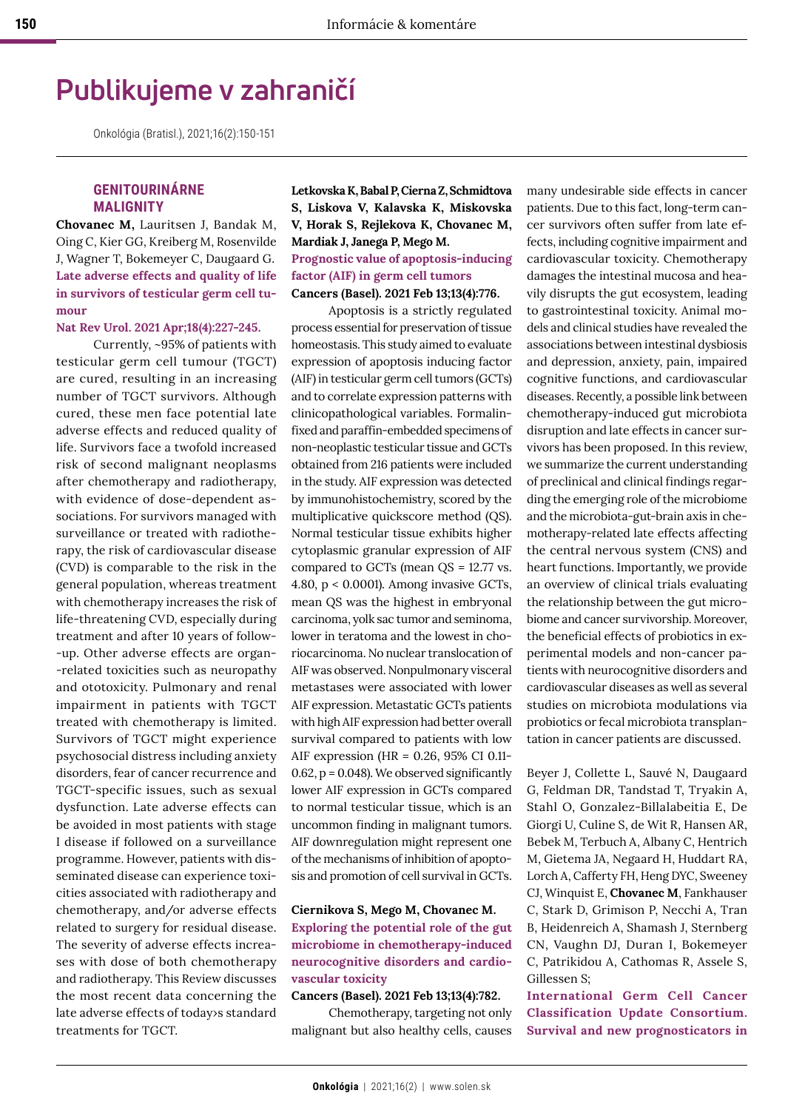# **Publikujeme v zahraničí**

Onkológia (Bratisl.), 2021;16(2):150-151

# **GENITOURINÁRNE MALIGNITY**

**Chovanec M,** Lauritsen J, Bandak M, Oing C, Kier GG, Kreiberg M, Rosenvilde J, Wagner T, Bokemeyer C, Daugaard G. **Late adverse effects and quality of life in survivors of testicular germ cell tumour**

**Nat Rev Urol. 2021 Apr;18(4):227-245.**

Currently, ~95% of patients with testicular germ cell tumour (TGCT) are cured, resulting in an increasing number of TGCT survivors. Although cured, these men face potential late adverse effects and reduced quality of life. Survivors face a twofold increased risk of second malignant neoplasms after chemotherapy and radiotherapy, with evidence of dose-dependent associations. For survivors managed with surveillance or treated with radiotherapy, the risk of cardiovascular disease (CVD) is comparable to the risk in the general population, whereas treatment with chemotherapy increases the risk of life-threatening CVD, especially during treatment and after 10 years of follow- -up. Other adverse effects are organ- -related toxicities such as neuropathy and ototoxicity. Pulmonary and renal impairment in patients with TGCT treated with chemotherapy is limited. Survivors of TGCT might experience psychosocial distress including anxiety disorders, fear of cancer recurrence and TGCT-specific issues, such as sexual dysfunction. Late adverse effects can be avoided in most patients with stage I disease if followed on a surveillance programme. However, patients with disseminated disease can experience toxicities associated with radiotherapy and chemotherapy, and/or adverse effects related to surgery for residual disease. The severity of adverse effects increases with dose of both chemotherapy and radiotherapy. This Review discusses the most recent data concerning the late adverse effects of today›s standard treatments for TGCT.

**Letkovska K, Babal P, Cierna Z, Schmidtova S, Liskova V, Kalavska K, Miskovska V, Horak S, Rejlekova K, Chovanec M, Mardiak J, Janega P, Mego M. Prognostic value of apoptosis-inducing factor (AIF) in germ cell tumors Cancers (Basel). 2021 Feb 13;13(4):776.**

Apoptosis is a strictly regulated process essential for preservation of tissue homeostasis. This study aimed to evaluate expression of apoptosis inducing factor (AIF) in testicular germ cell tumors (GCTs) and to correlate expression patterns with clinicopathological variables. Formalinfixed and paraffin-embedded specimens of non-neoplastic testicular tissue and GCTs obtained from 216 patients were included in the study. AIF expression was detected by immunohistochemistry, scored by the multiplicative quickscore method (QS). Normal testicular tissue exhibits higher cytoplasmic granular expression of AIF compared to GCTs (mean QS = 12.77 vs. 4.80, p < 0.0001). Among invasive GCTs, mean QS was the highest in embryonal carcinoma, yolk sac tumor and seminoma, lower in teratoma and the lowest in choriocarcinoma. No nuclear translocation of AIF was observed. Nonpulmonary visceral metastases were associated with lower AIF expression. Metastatic GCTs patients with high AIF expression had better overall survival compared to patients with low AIF expression (HR = 0.26, 95% CI 0.11- 0.62, p = 0.048). We observed significantly lower AIF expression in GCTs compared to normal testicular tissue, which is an uncommon finding in malignant tumors. AIF downregulation might represent one of the mechanisms of inhibition of apoptosis and promotion of cell survival in GCTs.

### **Ciernikova S, Mego M, Chovanec M. Exploring the potential role of the gut microbiome in chemotherapy-induced neurocognitive disorders and cardiovascular toxicity**

#### **Cancers (Basel). 2021 Feb 13;13(4):782.**

Chemotherapy, targeting not only malignant but also healthy cells, causes many undesirable side effects in cancer patients. Due to this fact, long-term cancer survivors often suffer from late effects, including cognitive impairment and cardiovascular toxicity. Chemotherapy damages the intestinal mucosa and heavily disrupts the gut ecosystem, leading to gastrointestinal toxicity. Animal models and clinical studies have revealed the associations between intestinal dysbiosis and depression, anxiety, pain, impaired cognitive functions, and cardiovascular diseases. Recently, a possible link between chemotherapy-induced gut microbiota disruption and late effects in cancer survivors has been proposed. In this review, we summarize the current understanding of preclinical and clinical findings regarding the emerging role of the microbiome and the microbiota-gut-brain axis in chemotherapy-related late effects affecting the central nervous system (CNS) and heart functions. Importantly, we provide an overview of clinical trials evaluating the relationship between the gut microbiome and cancer survivorship. Moreover, the beneficial effects of probiotics in experimental models and non-cancer patients with neurocognitive disorders and cardiovascular diseases as well as several studies on microbiota modulations via probiotics or fecal microbiota transplantation in cancer patients are discussed.

Beyer J, Collette L, Sauvé N, Daugaard G, Feldman DR, Tandstad T, Tryakin A, Stahl O, Gonzalez-Billalabeitia E, De Giorgi U, Culine S, de Wit R, Hansen AR, Bebek M, Terbuch A, Albany C, Hentrich M, Gietema JA, Negaard H, Huddart RA, Lorch A, Cafferty FH, Heng DYC, Sweeney CJ, Winquist E, **Chovanec M**, Fankhauser C, Stark D, Grimison P, Necchi A, Tran B, Heidenreich A, Shamash J, Sternberg CN, Vaughn DJ, Duran I, Bokemeyer C, Patrikidou A, Cathomas R, Assele S, Gillessen S;

**International Germ Cell Cancer Classification Update Consortium. Survival and new prognosticators in**